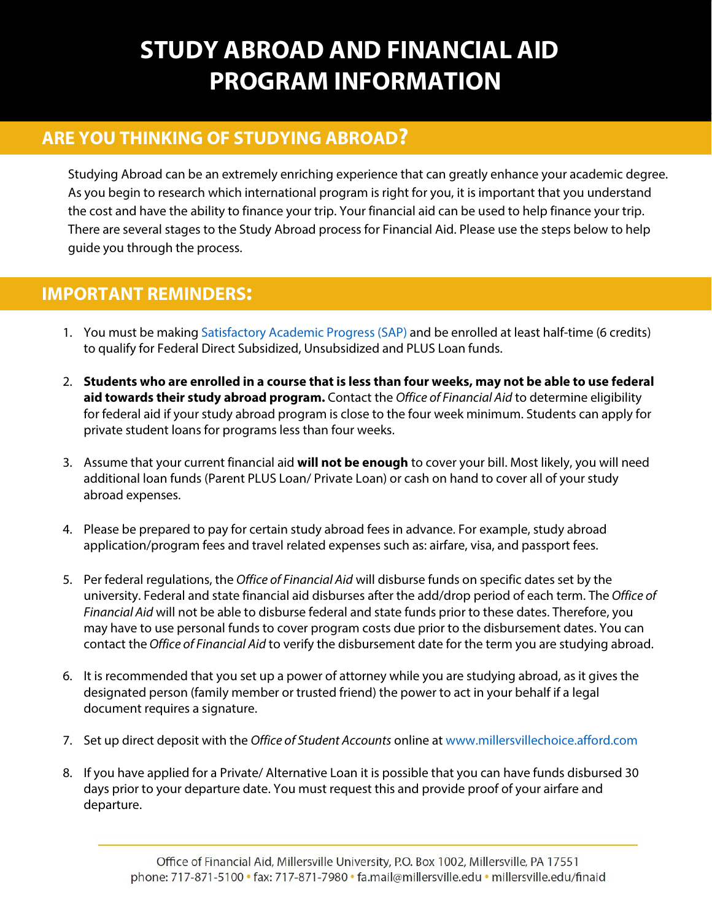# **STUDY ABROAD AND FINANCIAL AID PROGRAM INFORMATION**

### **ARE YOU THINKING OF STUDYING ABROAD?**

Studying Abroad can be an extremely enriching experience that can greatly enhance your academic degree. As you begin to research which international program is right for you, it is important that you understand the cost and have the ability to finance your trip. Your financial aid can be used to help finance your trip. There are several stages to the Study Abroad process for Financial Aid. Please use the steps below to help guide you through the process.

### **IMPORTANT REMINDERS:**

- 1. You must be making [Satisfactory Academic Progress](http://www.millersville.edu/finaid/eligibility/maintainingaid.php) (SAP) and be enrolled at least half-time (6 credits) to qualify for Federal Direct Subsidized, Unsubsidized and PLUS Loan funds.
- 2. **Students who are enrolled in a course that is less than four weeks, may not be able to use federal aid towards their study abroad program.** Contact the *Office of Financial Aid* to determine eligibility for federal aid if your study abroad program is close to the four week minimum. Students can apply for private student loans for programs less than four weeks.
- 3. Assume that your current financial aid **will not be enough** to cover your bill. Most likely, you will need additional loan funds (Parent PLUS Loan/ Private Loan) or cash on hand to cover all of your study abroad expenses.
- 4. Please be prepared to pay for certain study abroad fees in advance. For example, study abroad application/program fees and travel related expenses such as: airfare, visa, and passport fees.
- 5. Per federal regulations, the *Office of Financial Aid* will disburse funds on specific dates set by the university. Federal and state financial aid disburses after the add/drop period of each term. The *Office of Financial Aid* will not be able to disburse federal and state funds prior to these dates. Therefore, you may have to use personal funds to cover program costs due prior to the disbursement dates. You can contact the *Office of Financial Aid* to verify the disbursement date for the term you are studying abroad.
- 6. It is recommended that you set up a power of attorney while you are studying abroad, as it gives the designated person (family member or trusted friend) the power to act in your behalf if a legal document requires a signature.
- 7. Set up direct deposit with the *Office of Student Accounts* online at [www.millersvillechoice.afford.com](http://www.millersvillechoice.afford.com/)
- 8. If you have applied for a Private/ Alternative Loan it is possible that you can have funds disbursed 30 days prior to your departure date. You must request this and provide proof of your airfare and departure.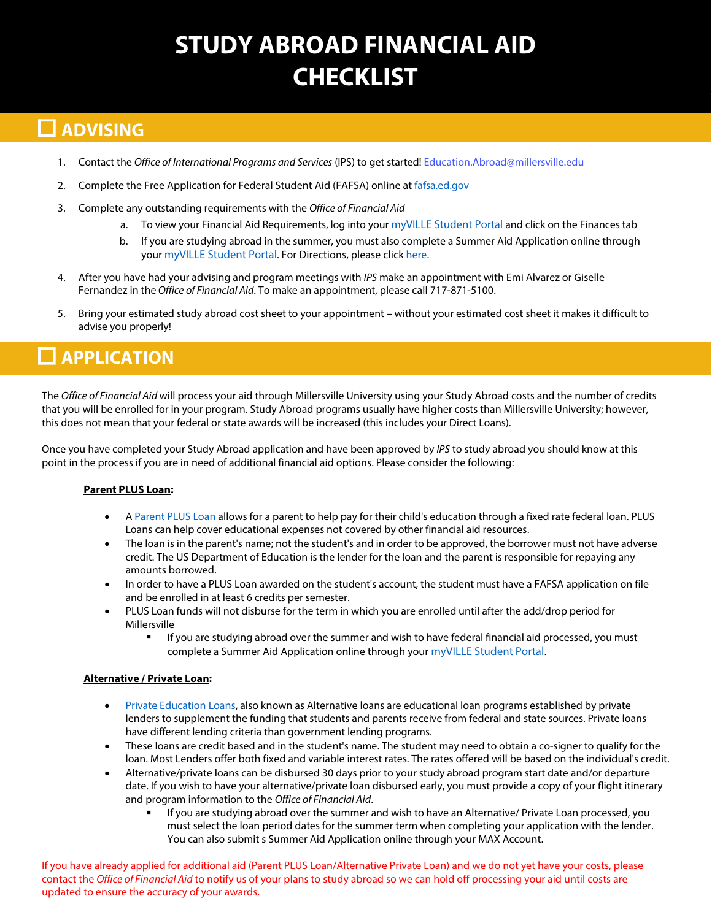# **STUDY ABROAD FINANCIAL AID CHECKLIST**

### **ADVISING**

- 1. Contact the Office of International Programs and Services (IPS) to get started! Education.Abroad@millersville.edu
- 2. Complete the Free Application for Federal Student Aid (FAFSA) online at [fafsa.ed.gov](https://fafsa.ed.gov/)
- 3. Complete any outstanding requirements with the *Office of Financial Aid*
	- a. To view your Financial Aid Requirements, log into your [myVILLE Student Portal](https://ecas.millersville.edu/cas/login?service=https%3A%2F%2Fmy5.millersville.edu%2Fc%2Fportal%2Flogin) and click on the Finances tab
	- b. If you are studying abroad in the summer, you must also complete a Summer Aid Application online through your [myVILLE Student Portal](https://ecas.millersville.edu/cas/login?service=https%3A%2F%2Fmy5.millersville.edu%2Fc%2Fportal%2Flogin). For Directions, please click [here.](http://www.millersville.edu/finaid/summer_aid/index.php)
- 4. After you have had your advising and program meetings with IPS make an appointment with Emi Alvarez or Giselle Fernandez in the *Office of Financial Aid*. To make an appointment, please call 717-871-5100.
- 5. Bring your estimated study abroad cost sheet to your appointment without your estimated cost sheet it makes it difficult to advise you properly!

## **APPLICATION**

The *Office of Financial Aid* will process your aid through Millersville University using your Study Abroad costs and the number of credits that you will be enrolled for in your program. Study Abroad programs usually have higher costs than Millersville University; however, this does not mean that your federal or state awards will be increased (this includes your Direct Loans).

Once you have completed your Study Abroad application and have been approved by IPS to study abroad you should know at this point in the process if you are in need of additional financial aid options. Please consider the following:

#### **Parent PLUS Loan:**

- A [Parent PLUS Loan](http://www.millersville.edu/finaid/loans/plus.php) allows for a parent to help pay for their child's education through a fixed rate federal loan. PLUS Loans can help cover educational expenses not covered by other financial aid resources.
- The loan is in the parent's name; not the student's and in order to be approved, the borrower must not have adverse credit. The US Department of Education is the lender for the loan and the parent is responsible for repaying any amounts borrowed.
- In order to have a PLUS Loan awarded on the student's account, the student must have a FAFSA application on file and be enrolled in at least 6 credits per semester.
- PLUS Loan funds will not disburse for the term in which you are enrolled until after the add/drop period for Millersville
	- If you are studying abroad over the summer and wish to have federal financial aid processed, you must complete a Summer Aid Application online through your [myVILLE Student Portal.](https://ecas.millersville.edu/cas/login?service=https%3A%2F%2Fmy5.millersville.edu%2Fc%2Fportal%2Flogin)

#### **Alternative / Private Loan:**

- [Private Education Loans,](http://www.millersville.edu/finaid/loans/alternative.php) also known as Alternative loans are educational loan programs established by private lenders to supplement the funding that students and parents receive from federal and state sources. Private loans have different lending criteria than government lending programs.
- These loans are credit based and in the student's name. The student may need to obtain a co-signer to qualify for the loan. Most Lenders offer both fixed and variable interest rates. The rates offered will be based on the individual's credit.
- Alternative/private loans can be disbursed 30 days prior to your study abroad program start date and/or departure date. If you wish to have your alternative/private loan disbursed early, you must provide a copy of your flight itinerary and program information to the *Office of Financial Aid*.
	- If you are studying abroad over the summer and wish to have an Alternative/ Private Loan processed, you must select the loan period dates for the summer term when completing your application with the lender. You can also submit s Summer Aid Application online through your MAX Account.

If you have already applied for additional aid (Parent PLUS Loan/Alternative Private Loan) and we do not yet have your costs, please contact the *Office of Financial Aid* to notify us of your plans to study abroad so we can hold off processing your aid until costs are updated to ensure the accuracy of your awards.